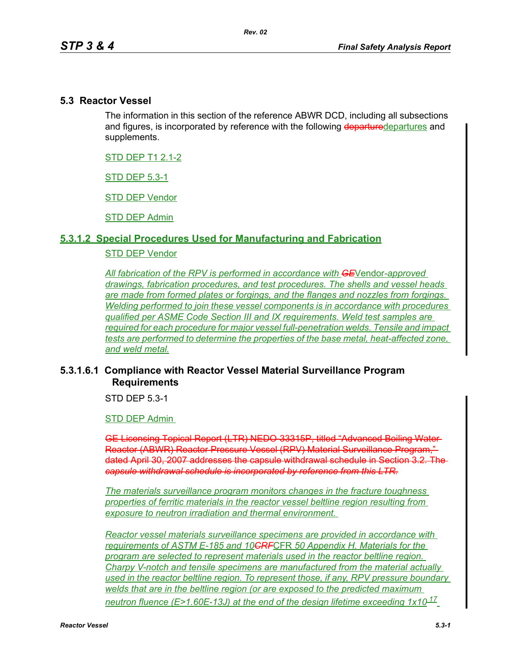### **5.3 Reactor Vessel**

The information in this section of the reference ABWR DCD, including all subsections and figures, is incorporated by reference with the following departuredepartures and supplements.

STD DEP T1 2.1-2

STD DEP 5.3-1

STD DEP Vendor

STD DEP Admin

### **5.3.1.2 Special Procedures Used for Manufacturing and Fabrication**

## STD DEP Vendor

*All fabrication of the RPV is performed in accordance with GE*Vendor*-approved drawings, fabrication procedures, and test procedures. The shells and vessel heads are made from formed plates or forgings, and the flanges and nozzles from forgings. Welding performed to join these vessel components is in accordance with procedures qualified per ASME Code Section III and IX requirements. Weld test samples are required for each procedure for major vessel full-penetration welds. Tensile and impact tests are performed to determine the properties of the base metal, heat-affected zone, and weld metal.*

## **5.3.1.6.1 Compliance with Reactor Vessel Material Surveillance Program Requirements**

STD DEP 5.3-1

STD DEP Admin

GE Licensing Topical Report (LTR) NEDO-33315P, titled "Advanced Boiling Water Reactor (ABWR) Reactor Pressure Vessel (RPV) Material Surveillance Program," dated April 30, 2007 addresses the capsule withdrawal schedule in Section 3.2. The *capsule withdrawal schedule is incorporated by reference from this LTR.*

*The materials surveillance program monitors changes in the fracture toughness properties of ferritic materials in the reactor vessel beltline region resulting from exposure to neutron irradiation and thermal environment.* 

*Reactor vessel materials surveillance specimens are provided in accordance with requirements of ASTM E-185 and 10CRF*CFR *50 Appendix H. Materials for the program are selected to represent materials used in the reactor beltline region. Charpy V-notch and tensile specimens are manufactured from the material actually used in the reactor beltline region. To represent those, if any, RPV pressure boundary welds that are in the beltline region (or are exposed to the predicted maximum neutron fluence (E>1.60E-13J) at the end of the design lifetime exceeding 1x10<sup>17</sup>*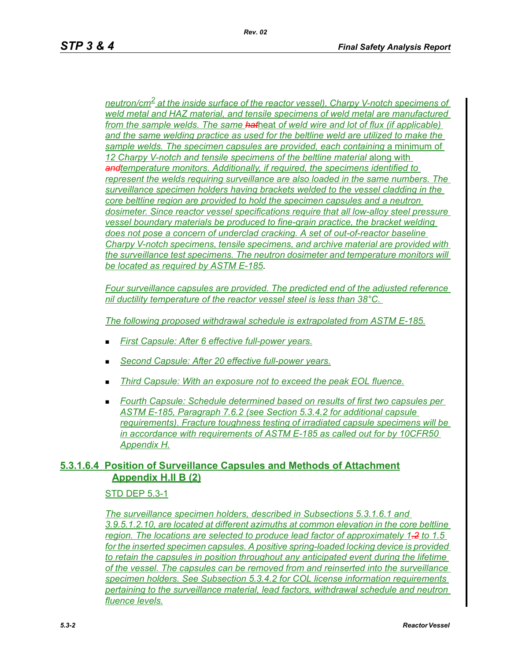*neutron/cm2 at the inside surface of the reactor vessel), Charpy V-notch specimens of weld metal and HAZ material, and tensile specimens of weld metal are manufactured from the sample welds. The same hat*heat *of weld wire and lot of flux (if applicable) and the same welding practice as used for the beltline weld are utilized to make the*  sample welds. The specimen capsules are provided, each containing a minimum of 12 Charpy V-notch and tensile specimens of the beltline material along with *andtemperature monitors. Additionally, if required, the specimens identified to represent the welds requiring surveillance are also loaded in the same numbers. The surveillance specimen holders having brackets welded to the vessel cladding in the core beltline region are provided to hold the specimen capsules and a neutron dosimeter. Since reactor vessel specifications require that all low-alloy steel pressure vessel boundary materials be produced to fine-grain practice, the bracket welding does not pose a concern of underclad cracking. A set of out-of-reactor baseline Charpy V-notch specimens, tensile specimens, and archive material are provided with the surveillance test specimens. The neutron dosimeter and temperature monitors will be located as required by ASTM E-185.*

*Four surveillance capsules are provided. The predicted end of the adjusted reference nil ductility temperature of the reactor vessel steel is less than 38°C.* 

*The following proposed withdrawal schedule is extrapolated from ASTM E-185.*

- *First Capsule: After 6 effective full-power years.*
- *Second Capsule: After 20 effective full-power years.*
- *Third Capsule: With an exposure not to exceed the peak EOL fluence.*
- *Fourth Capsule: Schedule determined based on results of first two capsules per ASTM E-185, Paragraph 7.6.2 (see Section 5.3.4.2 for additional capsule requirements). Fracture toughness testing of irradiated capsule specimens will be in accordance with requirements of ASTM E-185 as called out for by 10CFR50 Appendix H.*

## **5.3.1.6.4 Position of Surveillance Capsules and Methods of Attachment Appendix H.II B (2)**

### STD DEP 5.3-1

*The surveillance specimen holders, described in Subsections 5.3.1.6.1 and 3.9.5.1.2.10, are located at different azimuths at common elevation in the core beltline region. The locations are selected to produce lead factor of approximately 1.2 to 1.5 for the inserted specimen capsules. A positive spring-loaded locking device is provided to retain the capsules in position throughout any anticipated event during the lifetime of the vessel. The capsules can be removed from and reinserted into the surveillance specimen holders. See Subsection 5.3.4.2 for COL license information requirements pertaining to the surveillance material, lead factors, withdrawal schedule and neutron fluence levels.*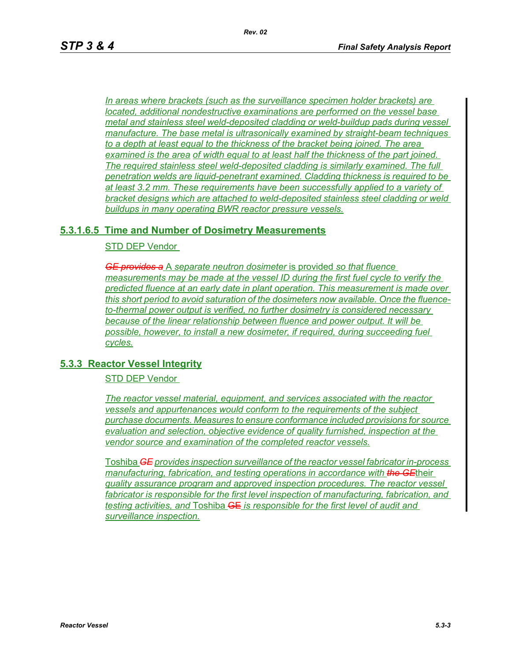*In areas where brackets (such as the surveillance specimen holder brackets) are located, additional nondestructive examinations are performed on the vessel base metal and stainless steel weld-deposited cladding or weld-buildup pads during vessel manufacture. The base metal is ultrasonically examined by straight-beam techniques to a depth at least equal to the thickness of the bracket being joined. The area examined is the area of width equal to at least half the thickness of the part joined. The required stainless steel weld-deposited cladding is similarly examined. The full penetration welds are liquid-penetrant examined. Cladding thickness is required to be at least 3.2 mm. These requirements have been successfully applied to a variety of bracket designs which are attached to weld-deposited stainless steel cladding or weld buildups in many operating BWR reactor pressure vessels.*

## **5.3.1.6.5 Time and Number of Dosimetry Measurements**

STD DEP Vendor

*GE provides a* A *separate neutron dosimeter* is provided *so that fluence measurements may be made at the vessel ID during the first fuel cycle to verify the predicted fluence at an early date in plant operation. This measurement is made over this short period to avoid saturation of the dosimeters now available. Once the fluenceto-thermal power output is verified, no further dosimetry is considered necessary because of the linear relationship between fluence and power output. It will be possible, however, to install a new dosimeter, if required, during succeeding fuel cycles.*

### **5.3.3 Reactor Vessel Integrity**

STD DEP Vendor

*The reactor vessel material, equipment, and services associated with the reactor vessels and appurtenances would conform to the requirements of the subject purchase documents. Measures to ensure conformance included provisions for source evaluation and selection, objective evidence of quality furnished, inspection at the vendor source and examination of the completed reactor vessels.*

Toshiba *GE provides inspection surveillance of the reactor vessel fabricator in-process manufacturing, fabrication, and testing operations in accordance with the GE*their *quality assurance program and approved inspection procedures. The reactor vessel*  fabricator is responsible for the first level inspection of manufacturing, fabrication, and *testing activities, and* Toshiba GE *is responsible for the first level of audit and surveillance inspection.*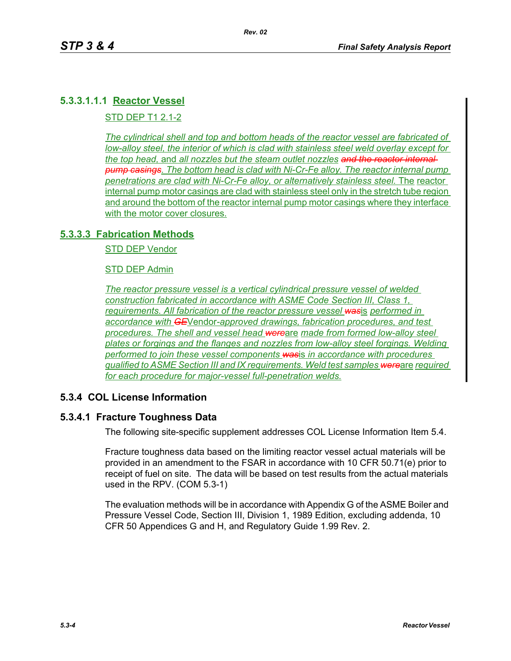# **5.3.3.1.1.1 Reactor Vessel**

STD DEP T1 2.1-2

*The cylindrical shell and top and bottom heads of the reactor vessel are fabricated of low-alloy steel, the interior of which is clad with stainless steel weld overlay except for the top head,* and *all nozzles but the steam outlet nozzles and the reactor internal pump casings. The bottom head is clad with Ni-Cr-Fe alloy. The reactor internal pump penetrations are clad with Ni-Cr-Fe alloy, or alternatively stainless steel.* The reactor internal pump motor casings are clad with stainless steel only in the stretch tube region and around the bottom of the reactor internal pump motor casings where they interface with the motor cover closures.

## **5.3.3.3 Fabrication Methods**

STD DEP Vendor

STD DEP Admin

*The reactor pressure vessel is a vertical cylindrical pressure vessel of welded construction fabricated in accordance with ASME Code Section III, Class 1, requirements. All fabrication of the reactor pressure vessel was*is *performed in accordance with GE*Vendor*-approved drawings, fabrication procedures, and test procedures. The shell and vessel head were*are *made from formed low-alloy steel plates or forgings and the flanges and nozzles from low-alloy steel forgings. Welding performed to join these vessel components was*is *in accordance with procedures qualified to ASME Section III and IX requirements. Weld test samples were*are *required for each procedure for major-vessel full-penetration welds.*

# **5.3.4 COL License Information**

### **5.3.4.1 Fracture Toughness Data**

The following site-specific supplement addresses COL License Information Item 5.4.

Fracture toughness data based on the limiting reactor vessel actual materials will be provided in an amendment to the FSAR in accordance with 10 CFR 50.71(e) prior to receipt of fuel on site. The data will be based on test results from the actual materials used in the RPV. (COM 5.3-1)

The evaluation methods will be in accordance with Appendix G of the ASME Boiler and Pressure Vessel Code, Section III, Division 1, 1989 Edition, excluding addenda, 10 CFR 50 Appendices G and H, and Regulatory Guide 1.99 Rev. 2.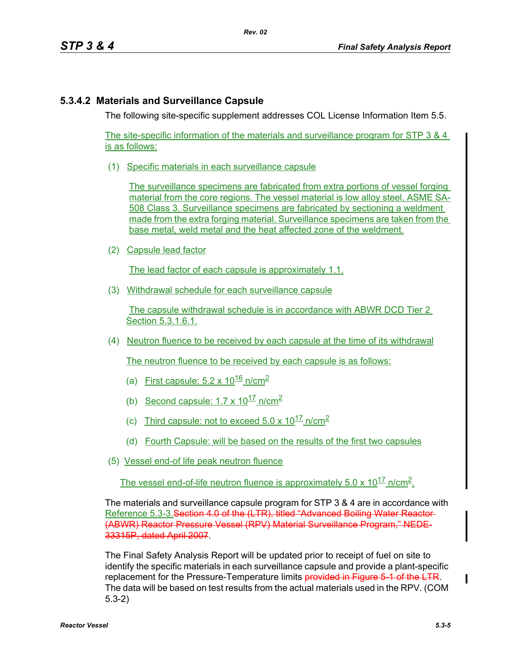# **5.3.4.2 Materials and Surveillance Capsule**

The following site-specific supplement addresses COL License Information Item 5.5.

The site-specific information of the materials and surveillance program for STP 3 & 4 is as follows:

(1) Specific materials in each surveillance capsule

The surveillance specimens are fabricated from extra portions of vessel forging material from the core regions. The vessel material is low alloy steel, ASME SA-508 Class 3. Surveillance specimens are fabricated by sectioning a weldment made from the extra forging material. Surveillance specimens are taken from the base metal, weld metal and the heat affected zone of the weldment.

(2) Capsule lead factor

The lead factor of each capsule is approximately 1.1.

(3) Withdrawal schedule for each surveillance capsule

The capsule withdrawal schedule is in accordance with ABWR DCD Tier 2 Section 5.3.1.6.1.

(4) Neutron fluence to be received by each capsule at the time of its withdrawal

The neutron fluence to be received by each capsule is as follows:

- (a) First capsule:  $5.2 \times 10^{16}$  n/cm<sup>2</sup>
- (b) Second capsule:  $1.7 \times 10^{17}$  n/cm<sup>2</sup>
- (c) Third capsule: not to exceed  $5.0 \times 10^{17}$  n/cm<sup>2</sup>
- (d) Fourth Capsule: will be based on the results of the first two capsules
- (5) Vessel end-of life peak neutron fluence

The vessel end-of-life neutron fluence is approximately  $5.0 \times 10^{17}$  n/cm<sup>2</sup>.

The materials and surveillance capsule program for STP 3 & 4 are in accordance with Reference 5.3-3.Section 4.0 of the (LTR), titled "Advanced Boiling Water Reactor (ABWR) Reactor Pressure Vessel (RPV) Material Surveillance Program," NEDE-33315P, dated April 2007.

The Final Safety Analysis Report will be updated prior to receipt of fuel on site to identify the specific materials in each surveillance capsule and provide a plant-specific replacement for the Pressure-Temperature limits provided in Figure 5-1 of the LTR. The data will be based on test results from the actual materials used in the RPV. (COM 5.3-2)